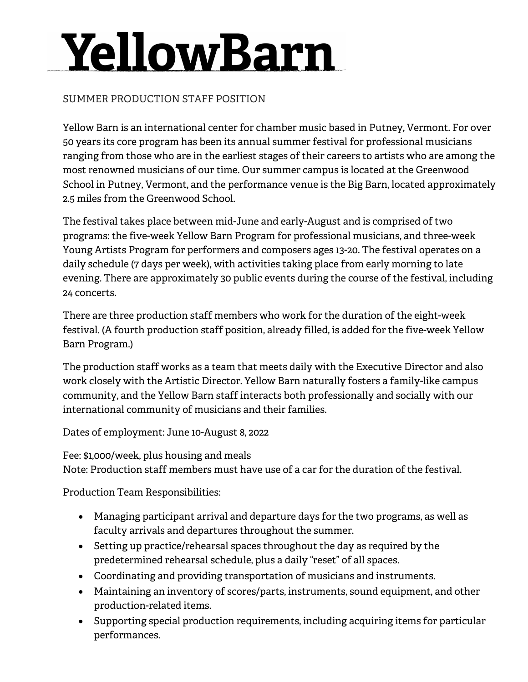## YellowBarn

## SUMMER PRODUCTION STAFF POSITION

Yellow Barn is an international center for chamber music based in Putney, Vermont. For over 50 years its core program has been its annual summer festival for professional musicians ranging from those who are in the earliest stages of their careers to artists who are among the most renowned musicians of our time. Our summer campus is located at the Greenwood School in Putney, Vermont, and the performance venue is the Big Barn, located approximately 2.5 miles from the Greenwood School.

The festival takes place between mid-June and early-August and is comprised of two programs: the five-week Yellow Barn Program for professional musicians, and three-week Young Artists Program for performers and composers ages 13-20. The festival operates on a daily schedule (7 days per week), with activities taking place from early morning to late evening. There are approximately 30 public events during the course of the festival, including 24 concerts.

There are three production staff members who work for the duration of the eight-week festival. (A fourth production staff position, already filled, is added for the five-week Yellow Barn Program.)

The production staff works as a team that meets daily with the Executive Director and also work closely with the Artistic Director. Yellow Barn naturally fosters a family-like campus community, and the Yellow Barn staff interacts both professionally and socially with our international community of musicians and their families.

Dates of employment: June 10-August 8, 2022

Fee: \$1,000/week, plus housing and meals Note: Production staff members must have use of a car for the duration of the festival.

Production Team Responsibilities:

- Managing participant arrival and departure days for the two programs, as well as faculty arrivals and departures throughout the summer.
- Setting up practice/rehearsal spaces throughout the day as required by the predetermined rehearsal schedule, plus a daily "reset" of all spaces.
- Coordinating and providing transportation of musicians and instruments.
- Maintaining an inventory of scores/parts, instruments, sound equipment, and other production-related items.
- Supporting special production requirements, including acquiring items for particular performances.